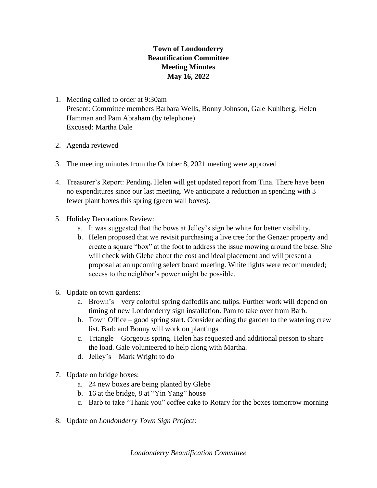## **Town of Londonderry Beautification Committee Meeting Minutes May 16, 2022**

- 1. Meeting called to order at 9:30am Present: Committee members Barbara Wells, Bonny Johnson, Gale Kuhlberg, Helen Hamman and Pam Abraham (by telephone) Excused: Martha Dale
- 2. Agenda reviewed
- 3. The meeting minutes from the October 8, 2021 meeting were approved
- 4. Treasurer's Report: Pending**.** Helen will get updated report from Tina. There have been no expenditures since our last meeting. We anticipate a reduction in spending with 3 fewer plant boxes this spring (green wall boxes).
- 5. Holiday Decorations Review:
	- a. It was suggested that the bows at Jelley's sign be white for better visibility.
	- b. Helen proposed that we revisit purchasing a live tree for the Genzer property and create a square "box" at the foot to address the issue mowing around the base. She will check with Glebe about the cost and ideal placement and will present a proposal at an upcoming select board meeting. White lights were recommended; access to the neighbor's power might be possible.
- 6. Update on town gardens:
	- a. Brown's very colorful spring daffodils and tulips. Further work will depend on timing of new Londonderry sign installation. Pam to take over from Barb.
	- b. Town Office good spring start. Consider adding the garden to the watering crew list. Barb and Bonny will work on plantings
	- c. Triangle Gorgeous spring. Helen has requested and additional person to share the load. Gale volunteered to help along with Martha.
	- d. Jelley's Mark Wright to do
- 7. Update on bridge boxes:
	- a. 24 new boxes are being planted by Glebe
	- b. 16 at the bridge, 8 at "Yin Yang" house
	- c. Barb to take "Thank you" coffee cake to Rotary for the boxes tomorrow morning
- 8. Update on *Londonderry Town Sign Project:*

*Londonderry Beautification Committee*